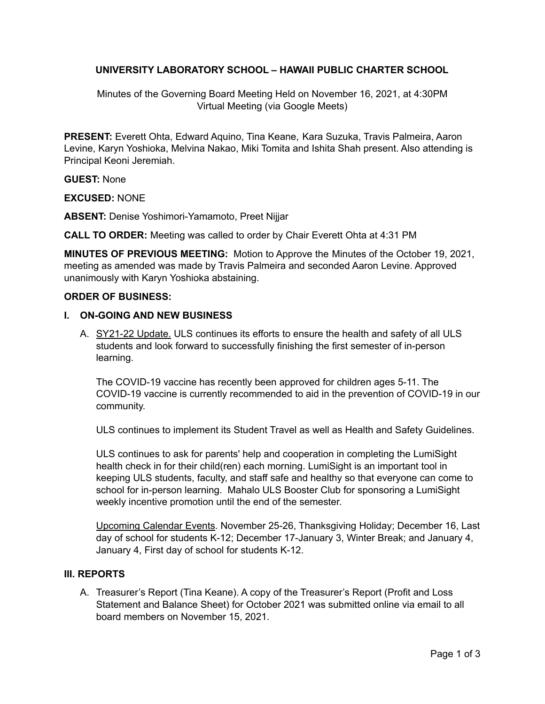## **UNIVERSITY LABORATORY SCHOOL – HAWAII PUBLIC CHARTER SCHOOL**

Minutes of the Governing Board Meeting Held on November 16, 2021, at 4:30PM Virtual Meeting (via Google Meets)

**PRESENT:** Everett Ohta, Edward Aquino, Tina Keane, Kara Suzuka, Travis Palmeira, Aaron Levine, Karyn Yoshioka, Melvina Nakao, Miki Tomita and Ishita Shah present. Also attending is Principal Keoni Jeremiah.

**GUEST:** None

**EXCUSED:** NONE

**ABSENT:** Denise Yoshimori-Yamamoto, Preet Nijjar

**CALL TO ORDER:** Meeting was called to order by Chair Everett Ohta at 4:31 PM

**MINUTES OF PREVIOUS MEETING:** Motion to Approve the Minutes of the October 19, 2021, meeting as amended was made by Travis Palmeira and seconded Aaron Levine. Approved unanimously with Karyn Yoshioka abstaining.

#### **ORDER OF BUSINESS:**

#### **I. ON-GOING AND NEW BUSINESS**

A. SY21-22 Update. ULS continues its efforts to ensure the health and safety of all ULS students and look forward to successfully finishing the first semester of in-person learning.

The COVID-19 vaccine has recently been approved for children ages 5-11. The COVID-19 vaccine is currently recommended to aid in the prevention of COVID-19 in our community.

ULS continues to implement its Student Travel as well as Health and Safety Guidelines.

ULS continues to ask for parents' help and cooperation in completing the LumiSight health check in for their child(ren) each morning. LumiSight is an important tool in keeping ULS students, faculty, and staff safe and healthy so that everyone can come to school for in-person learning. Mahalo ULS Booster Club for sponsoring a LumiSight weekly incentive promotion until the end of the semester.

Upcoming Calendar Events. November 25-26, Thanksgiving Holiday; December 16, Last day of school for students K-12; December 17-January 3, Winter Break; and January 4, January 4, First day of school for students K-12.

### **III. REPORTS**

A. Treasurer's Report (Tina Keane). A copy of the Treasurer's Report (Profit and Loss Statement and Balance Sheet) for October 2021 was submitted online via email to all board members on November 15, 2021.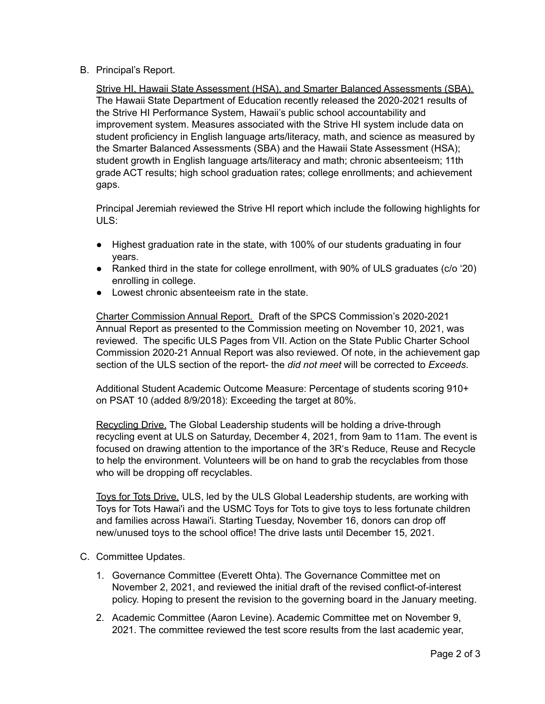B. Principal's Report.

Strive HI, Hawaii State Assessment (HSA), and Smarter Balanced Assessments (SBA). The Hawaii State Department of Education recently released the 2020-2021 results of the Strive HI Performance System, Hawaii's public school accountability and improvement system. Measures associated with the Strive HI system include data on student proficiency in English language arts/literacy, math, and science as measured by the Smarter Balanced Assessments (SBA) and the Hawaii State Assessment (HSA); student growth in English language arts/literacy and math; chronic absenteeism; 11th grade ACT results; high school graduation rates; college enrollments; and achievement gaps.

Principal Jeremiah reviewed the Strive HI report which include the following highlights for ULS:

- Highest graduation rate in the state, with 100% of our students graduating in four years.
- Ranked third in the state for college enrollment, with 90% of ULS graduates (c/o '20) enrolling in college.
- Lowest chronic absenteeism rate in the state.

Charter Commission Annual Report. Draft of the SPCS Commission's 2020-2021 Annual Report as presented to the Commission meeting on November 10, 2021, was reviewed. The specific ULS Pages from VII. Action on the State Public Charter School Commission 2020-21 Annual Report was also reviewed. Of note, in the achievement gap section of the ULS section of the report- the *did not meet* will be corrected to *Exceeds*.

Additional Student Academic Outcome Measure: Percentage of students scoring 910+ on PSAT 10 (added 8/9/2018): Exceeding the target at 80%.

Recycling Drive. The Global Leadership students will be holding a drive-through recycling event at ULS on Saturday, December 4, 2021, from 9am to 11am. The event is focused on drawing attention to the importance of the 3Rʻs Reduce, Reuse and Recycle to help the environment. Volunteers will be on hand to grab the recyclables from those who will be dropping off recyclables.

Toys for Tots Drive. ULS, led by the ULS Global Leadership students, are working with Toys for Tots Hawai'i and the USMC Toys for Tots to give toys to less fortunate children and families across Hawai'i. Starting Tuesday, November 16, donors can drop off new/unused toys to the school office! The drive lasts until December 15, 2021.

- C. Committee Updates.
	- 1. Governance Committee (Everett Ohta). The Governance Committee met on November 2, 2021, and reviewed the initial draft of the revised conflict-of-interest policy. Hoping to present the revision to the governing board in the January meeting.
	- 2. Academic Committee (Aaron Levine). Academic Committee met on November 9, 2021. The committee reviewed the test score results from the last academic year,